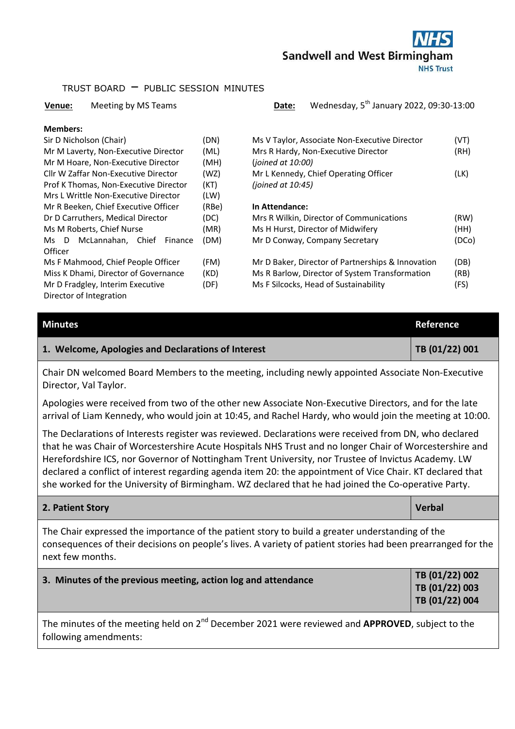

### TRUST BOARD – PUBLIC SESSION MINUTES

#### **Venue:** Meeting by MS Teams **Date:** Wednesday, 5<sup>th</sup> January 2022, 09:30-13:00

#### **Members:**

| Sir D Nicholson (Chair)               | (DN)  | Ms V Taylor, Asso    |
|---------------------------------------|-------|----------------------|
| Mr M Laverty, Non-Executive Director  | (ML)  | Mrs R Hardy, Nor     |
| Mr M Hoare, Non-Executive Director    | (MH)  | (joined at 10:00)    |
| Cllr W Zaffar Non-Executive Director  | (WZ)  | Mr L Kennedy, Cl     |
| Prof K Thomas, Non-Executive Director | (KT)  | (joined at $10:45$ ) |
| Mrs L Writtle Non-Executive Director  | (LW)  |                      |
| Mr R Beeken, Chief Executive Officer  | (RBe) | In Attendance:       |
| Dr D Carruthers, Medical Director     | (DC)  | Mrs R Wilkin, Dir    |
| Ms M Roberts, Chief Nurse             | (MR)  | Ms H Hurst, Dire     |
| Ms D McLannahan, Chief<br>Finance     | (DM)  | Mr D Conway, Co      |
| Officer                               |       |                      |
| Ms F Mahmood, Chief People Officer    | (FM)  | Mr D Baker, Dire     |
| Miss K Dhami, Director of Governance  | (KD)  | Ms R Barlow, Dire    |
| Mr D Fradgley, Interim Executive      | (DF)  | Ms F Silcocks, He    |
| Director of Integration               |       |                      |
|                                       |       |                      |

| Sir D Nicholson (Chair)               | (DN)  | Ms V Taylor, Associate Non-Executive Director     | (VT)  |
|---------------------------------------|-------|---------------------------------------------------|-------|
| Mr M Laverty, Non-Executive Director  | (ML)  | Mrs R Hardy, Non-Executive Director               | (RH)  |
| Mr M Hoare, Non-Executive Director    | (MH)  | (joined at 10:00)                                 |       |
| Cllr W Zaffar Non-Executive Director  | (WZ)  | Mr L Kennedy, Chief Operating Officer             | (LK)  |
| Prof K Thomas, Non-Executive Director | (KT)  | (joined at $10:45$ )                              |       |
| Mrs L Writtle Non-Executive Director  | (LW)  |                                                   |       |
| Mr R Beeken, Chief Executive Officer  | (RBe) | In Attendance:                                    |       |
| Dr D Carruthers, Medical Director     | (DC)  | Mrs R Wilkin, Director of Communications          | (RW)  |
| Ms M Roberts, Chief Nurse             | (MR)  | Ms H Hurst, Director of Midwifery                 | (HH)  |
| Ms D McLannahan, Chief<br>Finance     | (DM)  | Mr D Conway, Company Secretary                    | (DCo) |
| Officer                               |       |                                                   |       |
| Ms F Mahmood, Chief People Officer    | (FM)  | Mr D Baker, Director of Partnerships & Innovation | (DB)  |
| Miss K Dhami, Director of Governance  | (KD)  | Ms R Barlow, Director of System Transformation    | (RB)  |

Ms F Silcocks, Head of Sustainability (FS)

| <b>Minutes</b>                                                                                                             | Reference      |
|----------------------------------------------------------------------------------------------------------------------------|----------------|
| 1. Welcome, Apologies and Declarations of Interest                                                                         | TB (01/22) 001 |
| Chair DN welcomed Board Members to the meeting, including newly appointed Associate Non-Executive<br>Director, Val Taylor. |                |

Apologies were received from two of the other new Associate Non-Executive Directors, and for the late arrival of Liam Kennedy, who would join at 10:45, and Rachel Hardy, who would join the meeting at 10:00.

The Declarations of Interests register was reviewed. Declarations were received from DN, who declared that he was Chair of Worcestershire Acute Hospitals NHS Trust and no longer Chair of Worcestershire and Herefordshire ICS, nor Governor of Nottingham Trent University, nor Trustee of Invictus Academy. LW declared a conflict of interest regarding agenda item 20: the appointment of Vice Chair. KT declared that she worked for the University of Birmingham. WZ declared that he had joined the Co-operative Party.

#### **2. Patient Story Verbal According to the Contract Oriental According to the Contract Oriental According to the Verbal According to the Verbal According to the Verbal According to the Verbal According to the Verbal Accordi**

The Chair expressed the importance of the patient story to build a greater understanding of the consequences of their decisions on people's lives. A variety of patient stories had been prearranged for the next few months.

# **3. Minutes of the previous meeting, action log and attendance TB (01/22) 002**

**TB (01/22) 003 TB (01/22) 004** 

The minutes of the meeting held on 2<sup>nd</sup> December 2021 were reviewed and **APPROVED**, subject to the following amendments: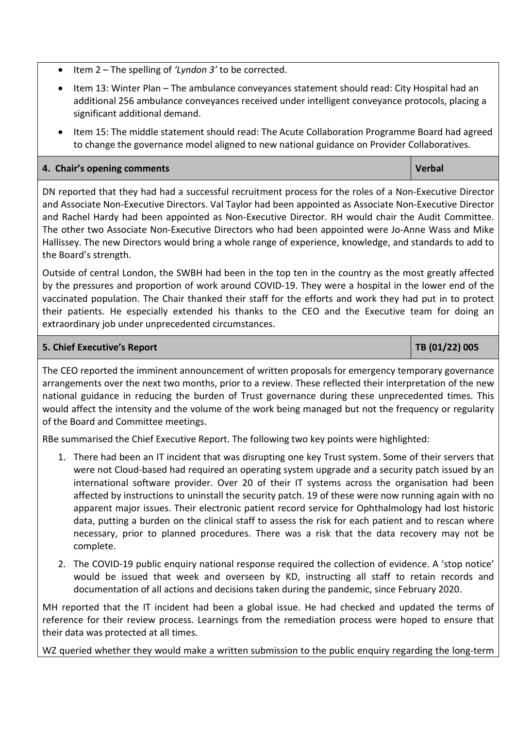- Item 2 The spelling of 'Lyndon 3' to be corrected.
- Item 13: Winter Plan The ambulance conveyances statement should read: City Hospital had an additional 256 ambulance conveyances received under intelligent conveyance protocols, placing a significant additional demand.
- Item 15: The middle statement should read: The Acute Collaboration Programme Board had agreed to change the governance model aligned to new national guidance on Provider Collaboratives.

# **4. Chair's opening comments in the comments of the community of the community of the community of the community of the community of the community of the community of the community of the community of the community of the**

DN reported that they had had a successful recruitment process for the roles of a Non-Executive Director and Associate Non-Executive Directors. Val Taylor had been appointed as Associate Non-Executive Director and Rachel Hardy had been appointed as Non-Executive Director. RH would chair the Audit Committee. The other two Associate Non-Executive Directors who had been appointed were Jo-Anne Wass and Mike Hallissey. The new Directors would bring a whole range of experience, knowledge, and standards to add to the Board's strength.

Outside of central London, the SWBH had been in the top ten in the country as the most greatly affected by the pressures and proportion of work around COVID-19. They were a hospital in the lower end of the vaccinated population. The Chair thanked their staff for the efforts and work they had put in to protect their patients. He especially extended his thanks to the CEO and the Executive team for doing an extraordinary job under unprecedented circumstances.

# **5. Chief Executive's Report TB (01/22) 005**

The CEO reported the imminent announcement of written proposals for emergency temporary governance

arrangements over the next two months, prior to a review. These reflected their interpretation of the new national guidance in reducing the burden of Trust governance during these unprecedented times. This would affect the intensity and the volume of the work being managed but not the frequency or regularity of the Board and Committee meetings.

RBe summarised the Chief Executive Report. The following two key points were highlighted:

- 1. There had been an IT incident that was disrupting one key Trust system. Some of their servers that were not Cloud-based had required an operating system upgrade and a security patch issued by an international software provider. Over 20 of their IT systems across the organisation had been affected by instructions to uninstall the security patch. 19 of these were now running again with no apparent major issues. Their electronic patient record service for Ophthalmology had lost historic data, putting a burden on the clinical staff to assess the risk for each patient and to rescan where necessary, prior to planned procedures. There was a risk that the data recovery may not be complete.
- 2. The COVID-19 public enquiry national response required the collection of evidence. A 'stop notice' would be issued that week and overseen by KD, instructing all staff to retain records and documentation of all actions and decisions taken during the pandemic, since February 2020.

MH reported that the IT incident had been a global issue. He had checked and updated the terms of reference for their review process. Learnings from the remediation process were hoped to ensure that their data was protected at all times.

WZ queried whether they would make a written submission to the public enquiry regarding the long-term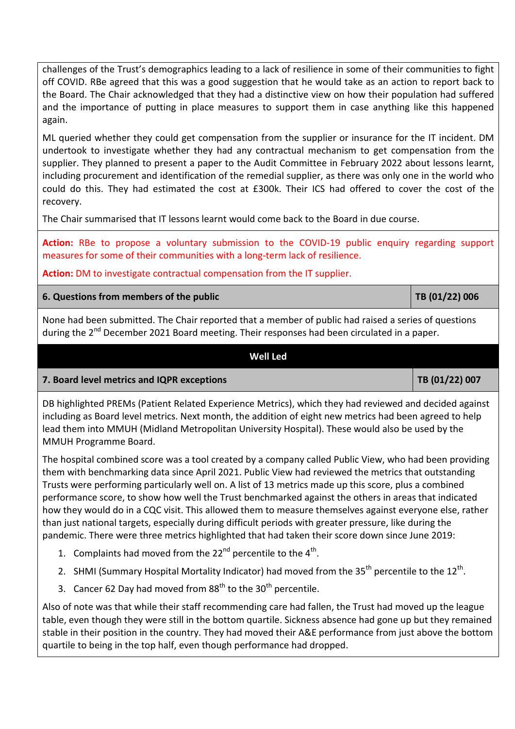challenges of the Trust's demographics leading to a lack of resilience in some of their communities to fight off COVID. RBe agreed that this was a good suggestion that he would take as an action to report back to the Board. The Chair acknowledged that they had a distinctive view on how their population had suffered and the importance of putting in place measures to support them in case anything like this happened again.

ML queried whether they could get compensation from the supplier or insurance for the IT incident. DM undertook to investigate whether they had any contractual mechanism to get compensation from the supplier. They planned to present a paper to the Audit Committee in February 2022 about lessons learnt, including procurement and identification of the remedial supplier, as there was only one in the world who could do this. They had estimated the cost at £300k. Their ICS had offered to cover the cost of the recovery.

The Chair summarised that IT lessons learnt would come back to the Board in due course.

**Action:** RBe to propose a voluntary submission to the COVID-19 public enquiry regarding support measures for some of their communities with a long-term lack of resilience.

**Action:** DM to investigate contractual compensation from the IT supplier.

# **6. Questions from members of the public CEO CONSUMING TREE (01/22) 006**

None had been submitted. The Chair reported that a member of public had raised a series of questions during the 2<sup>nd</sup> December 2021 Board meeting. Their responses had been circulated in a paper.

# **Well Led**

# **7. Board level metrics and IQPR exceptions TB (01/22) 007 TB** (01/22) 007

DB highlighted PREMs (Patient Related Experience Metrics), which they had reviewed and decided against including as Board level metrics. Next month, the addition of eight new metrics had been agreed to help lead them into MMUH (Midland Metropolitan University Hospital). These would also be used by the MMUH Programme Board.

The hospital combined score was a tool created by a company called Public View, who had been providing them with benchmarking data since April 2021. Public View had reviewed the metrics that outstanding Trusts were performing particularly well on. A list of 13 metrics made up this score, plus a combined performance score, to show how well the Trust benchmarked against the others in areas that indicated how they would do in a CQC visit. This allowed them to measure themselves against everyone else, rather than just national targets, especially during difficult periods with greater pressure, like during the pandemic. There were three metrics highlighted that had taken their score down since June 2019:

- 1. Complaints had moved from the 22<sup>nd</sup> percentile to the  $4<sup>th</sup>$ .
- 2. SHMI (Summary Hospital Mortality Indicator) had moved from the 35<sup>th</sup> percentile to the 12<sup>th</sup>.
- 3. Cancer 62 Day had moved from  $88<sup>th</sup>$  to the  $30<sup>th</sup>$  percentile.

Also of note was that while their staff recommending care had fallen, the Trust had moved up the league table, even though they were still in the bottom quartile. Sickness absence had gone up but they remained stable in their position in the country. They had moved their A&E performance from just above the bottom quartile to being in the top half, even though performance had dropped.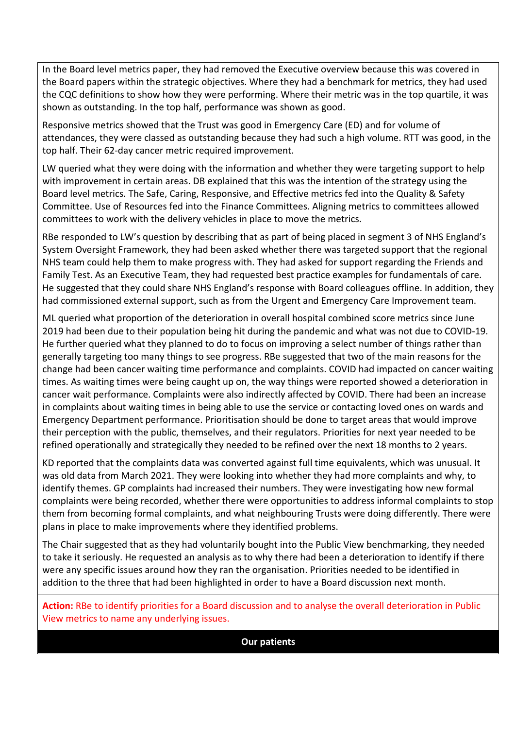In the Board level metrics paper, they had removed the Executive overview because this was covered in the Board papers within the strategic objectives. Where they had a benchmark for metrics, they had used the CQC definitions to show how they were performing. Where their metric was in the top quartile, it was shown as outstanding. In the top half, performance was shown as good.

Responsive metrics showed that the Trust was good in Emergency Care (ED) and for volume of attendances, they were classed as outstanding because they had such a high volume. RTT was good, in the top half. Their 62-day cancer metric required improvement.

LW queried what they were doing with the information and whether they were targeting support to help with improvement in certain areas. DB explained that this was the intention of the strategy using the Board level metrics. The Safe, Caring, Responsive, and Effective metrics fed into the Quality & Safety Committee. Use of Resources fed into the Finance Committees. Aligning metrics to committees allowed committees to work with the delivery vehicles in place to move the metrics.

RBe responded to LW's question by describing that as part of being placed in segment 3 of NHS England's System Oversight Framework, they had been asked whether there was targeted support that the regional NHS team could help them to make progress with. They had asked for support regarding the Friends and Family Test. As an Executive Team, they had requested best practice examples for fundamentals of care. He suggested that they could share NHS England's response with Board colleagues offline. In addition, they had commissioned external support, such as from the Urgent and Emergency Care Improvement team.

ML queried what proportion of the deterioration in overall hospital combined score metrics since June 2019 had been due to their population being hit during the pandemic and what was not due to COVID-19. He further queried what they planned to do to focus on improving a select number of things rather than generally targeting too many things to see progress. RBe suggested that two of the main reasons for the change had been cancer waiting time performance and complaints. COVID had impacted on cancer waiting times. As waiting times were being caught up on, the way things were reported showed a deterioration in cancer wait performance. Complaints were also indirectly affected by COVID. There had been an increase in complaints about waiting times in being able to use the service or contacting loved ones on wards and Emergency Department performance. Prioritisation should be done to target areas that would improve their perception with the public, themselves, and their regulators. Priorities for next year needed to be refined operationally and strategically they needed to be refined over the next 18 months to 2 years.

KD reported that the complaints data was converted against full time equivalents, which was unusual. It was old data from March 2021. They were looking into whether they had more complaints and why, to identify themes. GP complaints had increased their numbers. They were investigating how new formal complaints were being recorded, whether there were opportunities to address informal complaints to stop them from becoming formal complaints, and what neighbouring Trusts were doing differently. There were plans in place to make improvements where they identified problems.

The Chair suggested that as they had voluntarily bought into the Public View benchmarking, they needed to take it seriously. He requested an analysis as to why there had been a deterioration to identify if there were any specific issues around how they ran the organisation. Priorities needed to be identified in addition to the three that had been highlighted in order to have a Board discussion next month.

**Action:** RBe to identify priorities for a Board discussion and to analyse the overall deterioration in Public View metrics to name any underlying issues.

**Our patients**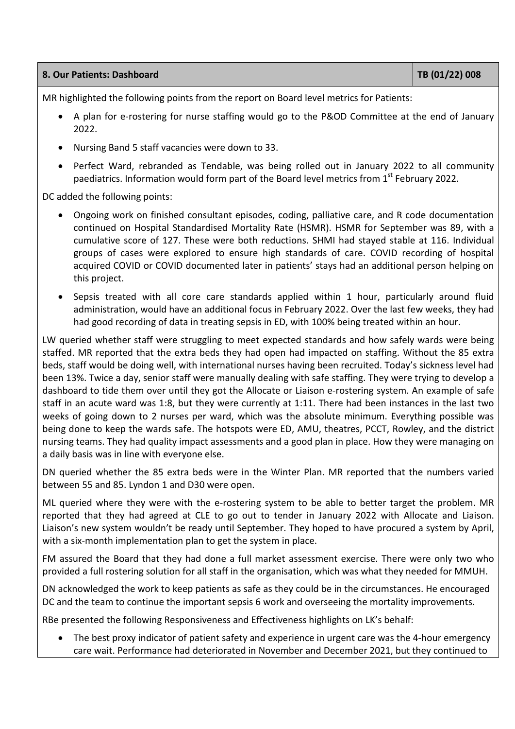| 8. Our Patients: Dashboard | TB(01/22)008 |
|----------------------------|--------------|
|----------------------------|--------------|

MR highlighted the following points from the report on Board level metrics for Patients:

- A plan for e-rostering for nurse staffing would go to the P&OD Committee at the end of January 2022.
- Nursing Band 5 staff vacancies were down to 33.
- Perfect Ward, rebranded as Tendable, was being rolled out in January 2022 to all community paediatrics. Information would form part of the Board level metrics from  $1<sup>st</sup>$  February 2022.

DC added the following points:

- Ongoing work on finished consultant episodes, coding, palliative care, and R code documentation continued on Hospital Standardised Mortality Rate (HSMR). HSMR for September was 89, with a cumulative score of 127. These were both reductions. SHMI had stayed stable at 116. Individual groups of cases were explored to ensure high standards of care. COVID recording of hospital acquired COVID or COVID documented later in patients' stays had an additional person helping on this project.
- Sepsis treated with all core care standards applied within 1 hour, particularly around fluid administration, would have an additional focus in February 2022. Over the last few weeks, they had had good recording of data in treating sepsis in ED, with 100% being treated within an hour.

LW queried whether staff were struggling to meet expected standards and how safely wards were being staffed. MR reported that the extra beds they had open had impacted on staffing. Without the 85 extra beds, staff would be doing well, with international nurses having been recruited. Today's sickness level had been 13%. Twice a day, senior staff were manually dealing with safe staffing. They were trying to develop a dashboard to tide them over until they got the Allocate or Liaison e-rostering system. An example of safe staff in an acute ward was 1:8, but they were currently at 1:11. There had been instances in the last two weeks of going down to 2 nurses per ward, which was the absolute minimum. Everything possible was being done to keep the wards safe. The hotspots were ED, AMU, theatres, PCCT, Rowley, and the district nursing teams. They had quality impact assessments and a good plan in place. How they were managing on a daily basis was in line with everyone else.

DN queried whether the 85 extra beds were in the Winter Plan. MR reported that the numbers varied between 55 and 85. Lyndon 1 and D30 were open.

ML queried where they were with the e-rostering system to be able to better target the problem. MR reported that they had agreed at CLE to go out to tender in January 2022 with Allocate and Liaison. Liaison's new system wouldn't be ready until September. They hoped to have procured a system by April, with a six-month implementation plan to get the system in place.

FM assured the Board that they had done a full market assessment exercise. There were only two who provided a full rostering solution for all staff in the organisation, which was what they needed for MMUH.

DN acknowledged the work to keep patients as safe as they could be in the circumstances. He encouraged DC and the team to continue the important sepsis 6 work and overseeing the mortality improvements.

RBe presented the following Responsiveness and Effectiveness highlights on LK's behalf:

 The best proxy indicator of patient safety and experience in urgent care was the 4-hour emergency care wait. Performance had deteriorated in November and December 2021, but they continued to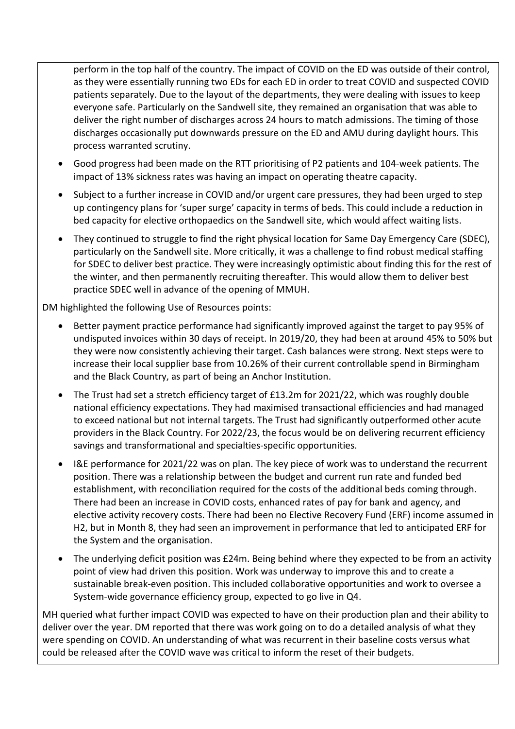perform in the top half of the country. The impact of COVID on the ED was outside of their control, as they were essentially running two EDs for each ED in order to treat COVID and suspected COVID patients separately. Due to the layout of the departments, they were dealing with issues to keep everyone safe. Particularly on the Sandwell site, they remained an organisation that was able to deliver the right number of discharges across 24 hours to match admissions. The timing of those discharges occasionally put downwards pressure on the ED and AMU during daylight hours. This process warranted scrutiny.

- Good progress had been made on the RTT prioritising of P2 patients and 104-week patients. The impact of 13% sickness rates was having an impact on operating theatre capacity.
- Subject to a further increase in COVID and/or urgent care pressures, they had been urged to step up contingency plans for 'super surge' capacity in terms of beds. This could include a reduction in bed capacity for elective orthopaedics on the Sandwell site, which would affect waiting lists.
- They continued to struggle to find the right physical location for Same Day Emergency Care (SDEC), particularly on the Sandwell site. More critically, it was a challenge to find robust medical staffing for SDEC to deliver best practice. They were increasingly optimistic about finding this for the rest of the winter, and then permanently recruiting thereafter. This would allow them to deliver best practice SDEC well in advance of the opening of MMUH.

DM highlighted the following Use of Resources points:

- Better payment practice performance had significantly improved against the target to pay 95% of undisputed invoices within 30 days of receipt. In 2019/20, they had been at around 45% to 50% but they were now consistently achieving their target. Cash balances were strong. Next steps were to increase their local supplier base from 10.26% of their current controllable spend in Birmingham and the Black Country, as part of being an Anchor Institution.
- The Trust had set a stretch efficiency target of £13.2m for 2021/22, which was roughly double national efficiency expectations. They had maximised transactional efficiencies and had managed to exceed national but not internal targets. The Trust had significantly outperformed other acute providers in the Black Country. For 2022/23, the focus would be on delivering recurrent efficiency savings and transformational and specialties-specific opportunities.
- I&E performance for 2021/22 was on plan. The key piece of work was to understand the recurrent position. There was a relationship between the budget and current run rate and funded bed establishment, with reconciliation required for the costs of the additional beds coming through. There had been an increase in COVID costs, enhanced rates of pay for bank and agency, and elective activity recovery costs. There had been no Elective Recovery Fund (ERF) income assumed in H2, but in Month 8, they had seen an improvement in performance that led to anticipated ERF for the System and the organisation.
- The underlying deficit position was £24m. Being behind where they expected to be from an activity point of view had driven this position. Work was underway to improve this and to create a sustainable break-even position. This included collaborative opportunities and work to oversee a System-wide governance efficiency group, expected to go live in Q4.

MH queried what further impact COVID was expected to have on their production plan and their ability to deliver over the year. DM reported that there was work going on to do a detailed analysis of what they were spending on COVID. An understanding of what was recurrent in their baseline costs versus what could be released after the COVID wave was critical to inform the reset of their budgets.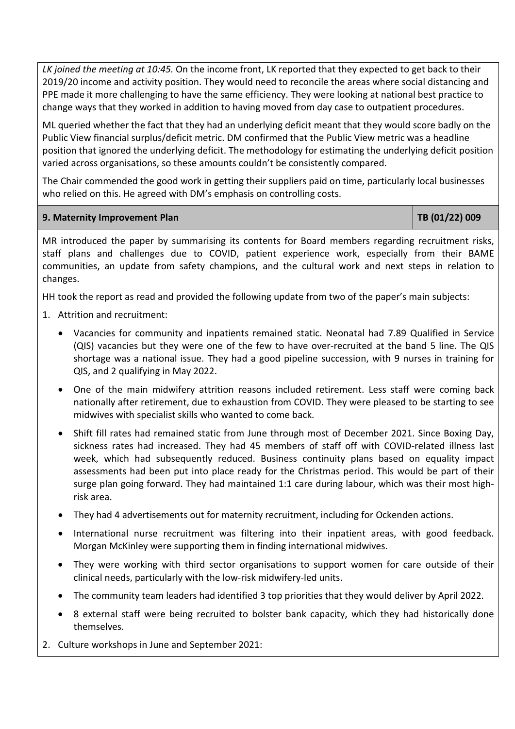*LK joined the meeting at 10:45.* On the income front, LK reported that they expected to get back to their 2019/20 income and activity position. They would need to reconcile the areas where social distancing and PPE made it more challenging to have the same efficiency. They were looking at national best practice to change ways that they worked in addition to having moved from day case to outpatient procedures.

ML queried whether the fact that they had an underlying deficit meant that they would score badly on the Public View financial surplus/deficit metric. DM confirmed that the Public View metric was a headline position that ignored the underlying deficit. The methodology for estimating the underlying deficit position varied across organisations, so these amounts couldn't be consistently compared.

The Chair commended the good work in getting their suppliers paid on time, particularly local businesses who relied on this. He agreed with DM's emphasis on controlling costs.

### **9. Maternity Improvement Plan TB (01/22) 009**

MR introduced the paper by summarising its contents for Board members regarding recruitment risks, staff plans and challenges due to COVID, patient experience work, especially from their BAME communities, an update from safety champions, and the cultural work and next steps in relation to changes.

HH took the report as read and provided the following update from two of the paper's main subjects:

- 1. Attrition and recruitment:
	- Vacancies for community and inpatients remained static. Neonatal had 7.89 Qualified in Service (QIS) vacancies but they were one of the few to have over-recruited at the band 5 line. The QIS shortage was a national issue. They had a good pipeline succession, with 9 nurses in training for QIS, and 2 qualifying in May 2022.
	- One of the main midwifery attrition reasons included retirement. Less staff were coming back nationally after retirement, due to exhaustion from COVID. They were pleased to be starting to see midwives with specialist skills who wanted to come back.
	- Shift fill rates had remained static from June through most of December 2021. Since Boxing Day, sickness rates had increased. They had 45 members of staff off with COVID-related illness last week, which had subsequently reduced. Business continuity plans based on equality impact assessments had been put into place ready for the Christmas period. This would be part of their surge plan going forward. They had maintained 1:1 care during labour, which was their most highrisk area.
	- They had 4 advertisements out for maternity recruitment, including for Ockenden actions.
	- International nurse recruitment was filtering into their inpatient areas, with good feedback. Morgan McKinley were supporting them in finding international midwives.
	- They were working with third sector organisations to support women for care outside of their clinical needs, particularly with the low-risk midwifery-led units.
	- The community team leaders had identified 3 top priorities that they would deliver by April 2022.
	- 8 external staff were being recruited to bolster bank capacity, which they had historically done themselves.
- 2. Culture workshops in June and September 2021: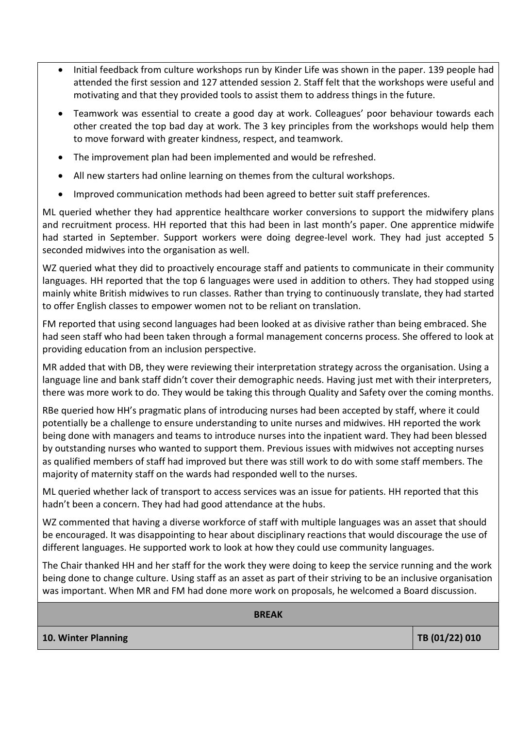- Initial feedback from culture workshops run by Kinder Life was shown in the paper. 139 people had attended the first session and 127 attended session 2. Staff felt that the workshops were useful and motivating and that they provided tools to assist them to address things in the future.
- Teamwork was essential to create a good day at work. Colleagues' poor behaviour towards each other created the top bad day at work. The 3 key principles from the workshops would help them to move forward with greater kindness, respect, and teamwork.
- The improvement plan had been implemented and would be refreshed.
- All new starters had online learning on themes from the cultural workshops.
- Improved communication methods had been agreed to better suit staff preferences.

ML queried whether they had apprentice healthcare worker conversions to support the midwifery plans and recruitment process. HH reported that this had been in last month's paper. One apprentice midwife had started in September. Support workers were doing degree-level work. They had just accepted 5 seconded midwives into the organisation as well.

WZ queried what they did to proactively encourage staff and patients to communicate in their community languages. HH reported that the top 6 languages were used in addition to others. They had stopped using mainly white British midwives to run classes. Rather than trying to continuously translate, they had started to offer English classes to empower women not to be reliant on translation.

FM reported that using second languages had been looked at as divisive rather than being embraced. She had seen staff who had been taken through a formal management concerns process. She offered to look at providing education from an inclusion perspective.

MR added that with DB, they were reviewing their interpretation strategy across the organisation. Using a language line and bank staff didn't cover their demographic needs. Having just met with their interpreters, there was more work to do. They would be taking this through Quality and Safety over the coming months.

RBe queried how HH's pragmatic plans of introducing nurses had been accepted by staff, where it could potentially be a challenge to ensure understanding to unite nurses and midwives. HH reported the work being done with managers and teams to introduce nurses into the inpatient ward. They had been blessed by outstanding nurses who wanted to support them. Previous issues with midwives not accepting nurses as qualified members of staff had improved but there was still work to do with some staff members. The majority of maternity staff on the wards had responded well to the nurses.

ML queried whether lack of transport to access services was an issue for patients. HH reported that this hadn't been a concern. They had had good attendance at the hubs.

WZ commented that having a diverse workforce of staff with multiple languages was an asset that should be encouraged. It was disappointing to hear about disciplinary reactions that would discourage the use of different languages. He supported work to look at how they could use community languages.

The Chair thanked HH and her staff for the work they were doing to keep the service running and the work being done to change culture. Using staff as an asset as part of their striving to be an inclusive organisation was important. When MR and FM had done more work on proposals, he welcomed a Board discussion.

**BREAK**

**10. Winter Planning TB (01/22) 010 TB (01/22) 010**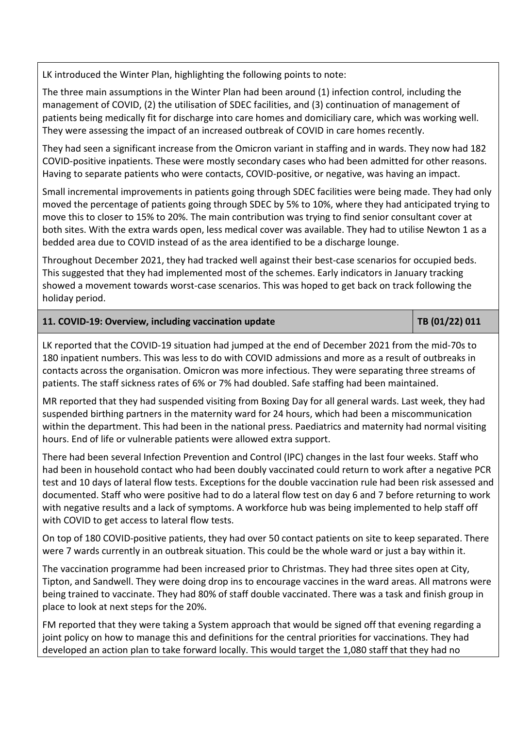LK introduced the Winter Plan, highlighting the following points to note:

The three main assumptions in the Winter Plan had been around (1) infection control, including the management of COVID, (2) the utilisation of SDEC facilities, and (3) continuation of management of patients being medically fit for discharge into care homes and domiciliary care, which was working well. They were assessing the impact of an increased outbreak of COVID in care homes recently.

They had seen a significant increase from the Omicron variant in staffing and in wards. They now had 182 COVID-positive inpatients. These were mostly secondary cases who had been admitted for other reasons. Having to separate patients who were contacts, COVID-positive, or negative, was having an impact.

Small incremental improvements in patients going through SDEC facilities were being made. They had only moved the percentage of patients going through SDEC by 5% to 10%, where they had anticipated trying to move this to closer to 15% to 20%. The main contribution was trying to find senior consultant cover at both sites. With the extra wards open, less medical cover was available. They had to utilise Newton 1 as a bedded area due to COVID instead of as the area identified to be a discharge lounge.

Throughout December 2021, they had tracked well against their best-case scenarios for occupied beds. This suggested that they had implemented most of the schemes. Early indicators in January tracking showed a movement towards worst-case scenarios. This was hoped to get back on track following the holiday period.

# **11. COVID-19: Overview, including vaccination update**  $\vert$  **TB (01/22) 011**

LK reported that the COVID-19 situation had jumped at the end of December 2021 from the mid-70s to 180 inpatient numbers. This was less to do with COVID admissions and more as a result of outbreaks in contacts across the organisation. Omicron was more infectious. They were separating three streams of patients. The staff sickness rates of 6% or 7% had doubled. Safe staffing had been maintained.

MR reported that they had suspended visiting from Boxing Day for all general wards. Last week, they had suspended birthing partners in the maternity ward for 24 hours, which had been a miscommunication within the department. This had been in the national press. Paediatrics and maternity had normal visiting hours. End of life or vulnerable patients were allowed extra support.

There had been several Infection Prevention and Control (IPC) changes in the last four weeks. Staff who had been in household contact who had been doubly vaccinated could return to work after a negative PCR test and 10 days of lateral flow tests. Exceptions for the double vaccination rule had been risk assessed and documented. Staff who were positive had to do a lateral flow test on day 6 and 7 before returning to work with negative results and a lack of symptoms. A workforce hub was being implemented to help staff off with COVID to get access to lateral flow tests.

On top of 180 COVID-positive patients, they had over 50 contact patients on site to keep separated. There were 7 wards currently in an outbreak situation. This could be the whole ward or just a bay within it.

The vaccination programme had been increased prior to Christmas. They had three sites open at City, Tipton, and Sandwell. They were doing drop ins to encourage vaccines in the ward areas. All matrons were being trained to vaccinate. They had 80% of staff double vaccinated. There was a task and finish group in place to look at next steps for the 20%.

FM reported that they were taking a System approach that would be signed off that evening regarding a joint policy on how to manage this and definitions for the central priorities for vaccinations. They had developed an action plan to take forward locally. This would target the 1,080 staff that they had no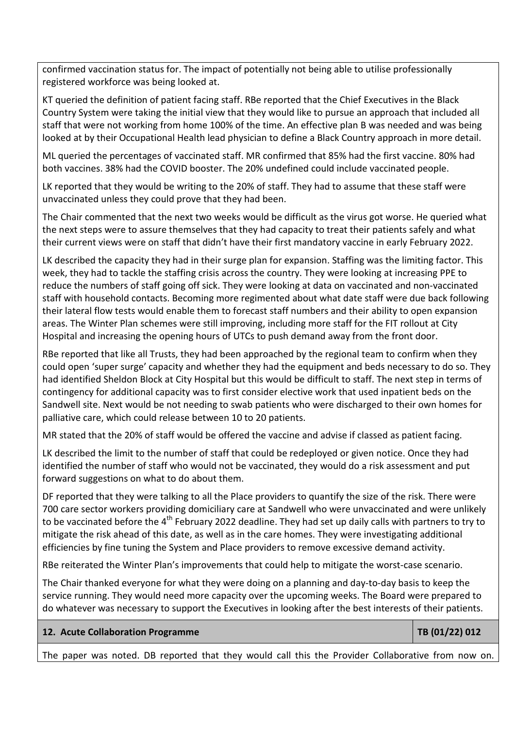confirmed vaccination status for. The impact of potentially not being able to utilise professionally registered workforce was being looked at.

KT queried the definition of patient facing staff. RBe reported that the Chief Executives in the Black Country System were taking the initial view that they would like to pursue an approach that included all staff that were not working from home 100% of the time. An effective plan B was needed and was being looked at by their Occupational Health lead physician to define a Black Country approach in more detail.

ML queried the percentages of vaccinated staff. MR confirmed that 85% had the first vaccine. 80% had both vaccines. 38% had the COVID booster. The 20% undefined could include vaccinated people.

LK reported that they would be writing to the 20% of staff. They had to assume that these staff were unvaccinated unless they could prove that they had been.

The Chair commented that the next two weeks would be difficult as the virus got worse. He queried what the next steps were to assure themselves that they had capacity to treat their patients safely and what their current views were on staff that didn't have their first mandatory vaccine in early February 2022.

LK described the capacity they had in their surge plan for expansion. Staffing was the limiting factor. This week, they had to tackle the staffing crisis across the country. They were looking at increasing PPE to reduce the numbers of staff going off sick. They were looking at data on vaccinated and non-vaccinated staff with household contacts. Becoming more regimented about what date staff were due back following their lateral flow tests would enable them to forecast staff numbers and their ability to open expansion areas. The Winter Plan schemes were still improving, including more staff for the FIT rollout at City Hospital and increasing the opening hours of UTCs to push demand away from the front door.

RBe reported that like all Trusts, they had been approached by the regional team to confirm when they could open 'super surge' capacity and whether they had the equipment and beds necessary to do so. They had identified Sheldon Block at City Hospital but this would be difficult to staff. The next step in terms of contingency for additional capacity was to first consider elective work that used inpatient beds on the Sandwell site. Next would be not needing to swab patients who were discharged to their own homes for palliative care, which could release between 10 to 20 patients.

MR stated that the 20% of staff would be offered the vaccine and advise if classed as patient facing.

LK described the limit to the number of staff that could be redeployed or given notice. Once they had identified the number of staff who would not be vaccinated, they would do a risk assessment and put forward suggestions on what to do about them.

DF reported that they were talking to all the Place providers to quantify the size of the risk. There were 700 care sector workers providing domiciliary care at Sandwell who were unvaccinated and were unlikely to be vaccinated before the 4<sup>th</sup> February 2022 deadline. They had set up daily calls with partners to try to mitigate the risk ahead of this date, as well as in the care homes. They were investigating additional efficiencies by fine tuning the System and Place providers to remove excessive demand activity.

RBe reiterated the Winter Plan's improvements that could help to mitigate the worst-case scenario.

The Chair thanked everyone for what they were doing on a planning and day-to-day basis to keep the service running. They would need more capacity over the upcoming weeks. The Board were prepared to do whatever was necessary to support the Executives in looking after the best interests of their patients.

# **12. Acute Collaboration Programme TB (01/22) 012**

The paper was noted. DB reported that they would call this the Provider Collaborative from now on.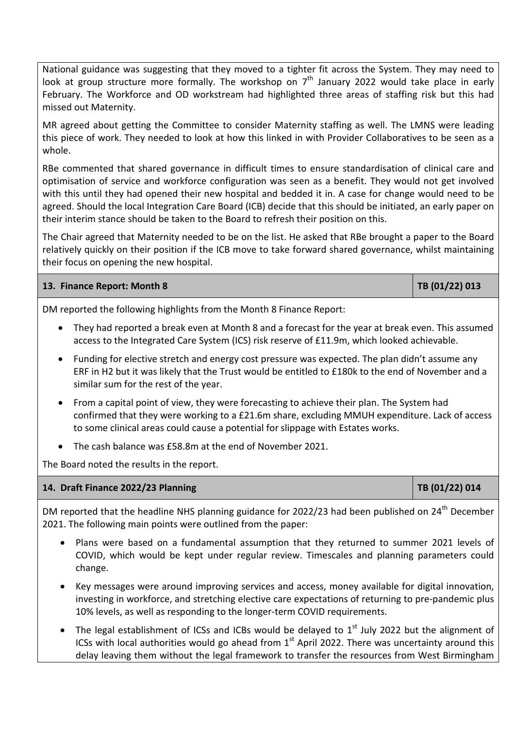National guidance was suggesting that they moved to a tighter fit across the System. They may need to look at group structure more formally. The workshop on  $7<sup>th</sup>$  January 2022 would take place in early February. The Workforce and OD workstream had highlighted three areas of staffing risk but this had missed out Maternity.

MR agreed about getting the Committee to consider Maternity staffing as well. The LMNS were leading this piece of work. They needed to look at how this linked in with Provider Collaboratives to be seen as a whole.

RBe commented that shared governance in difficult times to ensure standardisation of clinical care and optimisation of service and workforce configuration was seen as a benefit. They would not get involved with this until they had opened their new hospital and bedded it in. A case for change would need to be agreed. Should the local Integration Care Board (ICB) decide that this should be initiated, an early paper on their interim stance should be taken to the Board to refresh their position on this.

The Chair agreed that Maternity needed to be on the list. He asked that RBe brought a paper to the Board relatively quickly on their position if the ICB move to take forward shared governance, whilst maintaining their focus on opening the new hospital.

# **13. Finance Report: Month 8 TB (01/22) 013**

DM reported the following highlights from the Month 8 Finance Report:

- They had reported a break even at Month 8 and a forecast for the year at break even. This assumed access to the Integrated Care System (ICS) risk reserve of £11.9m, which looked achievable.
- Funding for elective stretch and energy cost pressure was expected. The plan didn't assume any ERF in H2 but it was likely that the Trust would be entitled to £180k to the end of November and a similar sum for the rest of the year.
- From a capital point of view, they were forecasting to achieve their plan. The System had confirmed that they were working to a £21.6m share, excluding MMUH expenditure. Lack of access to some clinical areas could cause a potential for slippage with Estates works.
- The cash balance was £58.8m at the end of November 2021.

The Board noted the results in the report.

# **14. Draft Finance 2022/23 Planning TB (01/22) 014**

DM reported that the headline NHS planning guidance for 2022/23 had been published on 24<sup>th</sup> December 2021. The following main points were outlined from the paper:

- Plans were based on a fundamental assumption that they returned to summer 2021 levels of COVID, which would be kept under regular review. Timescales and planning parameters could change.
- Key messages were around improving services and access, money available for digital innovation, investing in workforce, and stretching elective care expectations of returning to pre-pandemic plus 10% levels, as well as responding to the longer-term COVID requirements.
- The legal establishment of ICSs and ICBs would be delayed to  $1<sup>st</sup>$  July 2022 but the alignment of ICSs with local authorities would go ahead from  $1<sup>st</sup>$  April 2022. There was uncertainty around this delay leaving them without the legal framework to transfer the resources from West Birmingham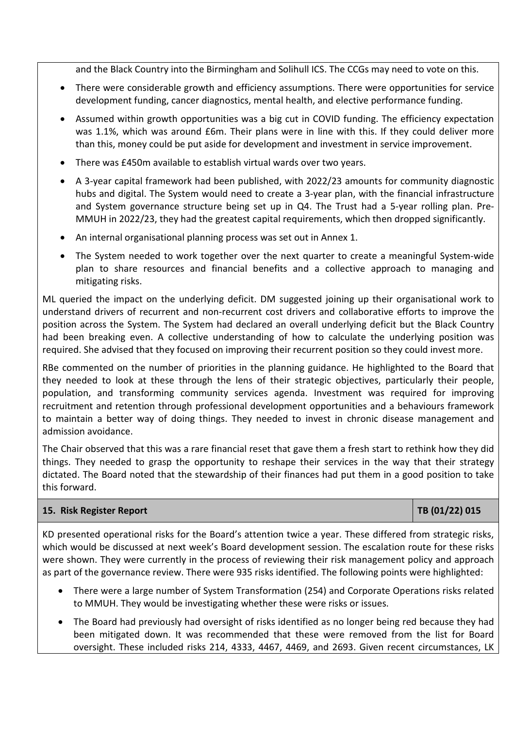and the Black Country into the Birmingham and Solihull ICS. The CCGs may need to vote on this.

- There were considerable growth and efficiency assumptions. There were opportunities for service development funding, cancer diagnostics, mental health, and elective performance funding.
- Assumed within growth opportunities was a big cut in COVID funding. The efficiency expectation was 1.1%, which was around £6m. Their plans were in line with this. If they could deliver more than this, money could be put aside for development and investment in service improvement.
- There was £450m available to establish virtual wards over two years.
- A 3-year capital framework had been published, with 2022/23 amounts for community diagnostic hubs and digital. The System would need to create a 3-year plan, with the financial infrastructure and System governance structure being set up in Q4. The Trust had a 5-year rolling plan. Pre-MMUH in 2022/23, they had the greatest capital requirements, which then dropped significantly.
- An internal organisational planning process was set out in Annex 1.
- The System needed to work together over the next quarter to create a meaningful System-wide plan to share resources and financial benefits and a collective approach to managing and mitigating risks.

ML queried the impact on the underlying deficit. DM suggested joining up their organisational work to understand drivers of recurrent and non-recurrent cost drivers and collaborative efforts to improve the position across the System. The System had declared an overall underlying deficit but the Black Country had been breaking even. A collective understanding of how to calculate the underlying position was required. She advised that they focused on improving their recurrent position so they could invest more.

RBe commented on the number of priorities in the planning guidance. He highlighted to the Board that they needed to look at these through the lens of their strategic objectives, particularly their people, population, and transforming community services agenda. Investment was required for improving recruitment and retention through professional development opportunities and a behaviours framework to maintain a better way of doing things. They needed to invest in chronic disease management and admission avoidance.

The Chair observed that this was a rare financial reset that gave them a fresh start to rethink how they did things. They needed to grasp the opportunity to reshape their services in the way that their strategy dictated. The Board noted that the stewardship of their finances had put them in a good position to take this forward.

### **15. Risk Register Report TB (01/22) 015**

KD presented operational risks for the Board's attention twice a year. These differed from strategic risks, which would be discussed at next week's Board development session. The escalation route for these risks were shown. They were currently in the process of reviewing their risk management policy and approach as part of the governance review. There were 935 risks identified. The following points were highlighted:

- There were a large number of System Transformation (254) and Corporate Operations risks related to MMUH. They would be investigating whether these were risks or issues.
- The Board had previously had oversight of risks identified as no longer being red because they had been mitigated down. It was recommended that these were removed from the list for Board oversight. These included risks 214, 4333, 4467, 4469, and 2693. Given recent circumstances, LK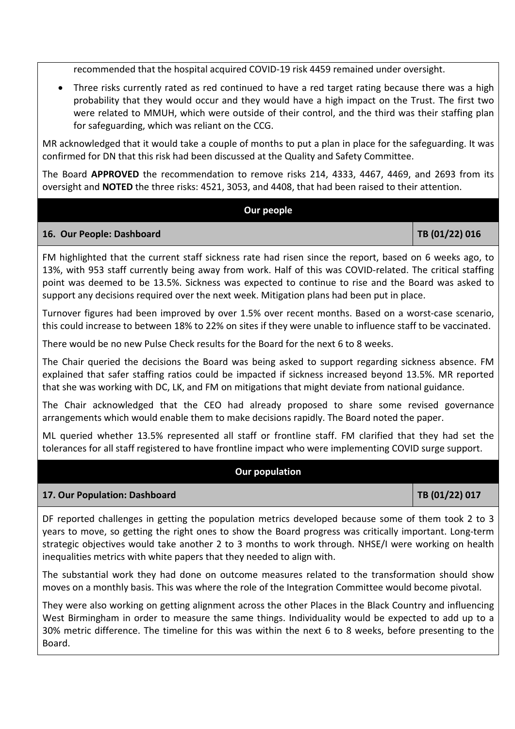recommended that the hospital acquired COVID-19 risk 4459 remained under oversight.

 Three risks currently rated as red continued to have a red target rating because there was a high probability that they would occur and they would have a high impact on the Trust. The first two were related to MMUH, which were outside of their control, and the third was their staffing plan for safeguarding, which was reliant on the CCG.

MR acknowledged that it would take a couple of months to put a plan in place for the safeguarding. It was confirmed for DN that this risk had been discussed at the Quality and Safety Committee.

The Board **APPROVED** the recommendation to remove risks 214, 4333, 4467, 4469, and 2693 from its oversight and **NOTED** the three risks: 4521, 3053, and 4408, that had been raised to their attention.

#### **Our people**

### 16. Our People: Dashboard **TB (01/22) 016**

FM highlighted that the current staff sickness rate had risen since the report, based on 6 weeks ago, to 13%, with 953 staff currently being away from work. Half of this was COVID-related. The critical staffing point was deemed to be 13.5%. Sickness was expected to continue to rise and the Board was asked to support any decisions required over the next week. Mitigation plans had been put in place.

Turnover figures had been improved by over 1.5% over recent months. Based on a worst-case scenario, this could increase to between 18% to 22% on sites if they were unable to influence staff to be vaccinated.

There would be no new Pulse Check results for the Board for the next 6 to 8 weeks.

The Chair queried the decisions the Board was being asked to support regarding sickness absence. FM explained that safer staffing ratios could be impacted if sickness increased beyond 13.5%. MR reported that she was working with DC, LK, and FM on mitigations that might deviate from national guidance.

The Chair acknowledged that the CEO had already proposed to share some revised governance arrangements which would enable them to make decisions rapidly. The Board noted the paper.

ML queried whether 13.5% represented all staff or frontline staff. FM clarified that they had set the tolerances for all staff registered to have frontline impact who were implementing COVID surge support.

### **Our population**

### **17. Our Population: Dashboard TB (01/22) 017 TB (01/22) 017**

DF reported challenges in getting the population metrics developed because some of them took 2 to 3 years to move, so getting the right ones to show the Board progress was critically important. Long-term strategic objectives would take another 2 to 3 months to work through. NHSE/I were working on health inequalities metrics with white papers that they needed to align with.

The substantial work they had done on outcome measures related to the transformation should show moves on a monthly basis. This was where the role of the Integration Committee would become pivotal.

They were also working on getting alignment across the other Places in the Black Country and influencing West Birmingham in order to measure the same things. Individuality would be expected to add up to a 30% metric difference. The timeline for this was within the next 6 to 8 weeks, before presenting to the Board.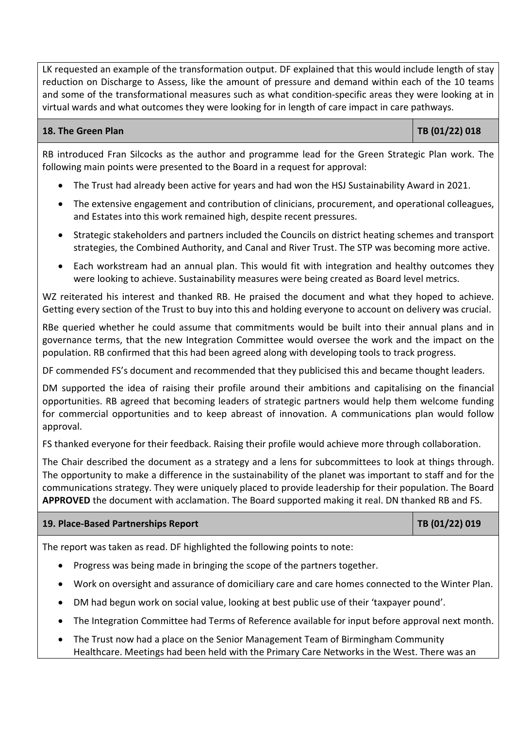LK requested an example of the transformation output. DF explained that this would include length of stay reduction on Discharge to Assess, like the amount of pressure and demand within each of the 10 teams and some of the transformational measures such as what condition-specific areas they were looking at in virtual wards and what outcomes they were looking for in length of care impact in care pathways.

# **18. The Green Plan TB (01/22) 018**

RB introduced Fran Silcocks as the author and programme lead for the Green Strategic Plan work. The following main points were presented to the Board in a request for approval:

- The Trust had already been active for years and had won the HSJ Sustainability Award in 2021.
- The extensive engagement and contribution of clinicians, procurement, and operational colleagues, and Estates into this work remained high, despite recent pressures.
- Strategic stakeholders and partners included the Councils on district heating schemes and transport strategies, the Combined Authority, and Canal and River Trust. The STP was becoming more active.
- Each workstream had an annual plan. This would fit with integration and healthy outcomes they were looking to achieve. Sustainability measures were being created as Board level metrics.

WZ reiterated his interest and thanked RB. He praised the document and what they hoped to achieve. Getting every section of the Trust to buy into this and holding everyone to account on delivery was crucial.

RBe queried whether he could assume that commitments would be built into their annual plans and in governance terms, that the new Integration Committee would oversee the work and the impact on the population. RB confirmed that this had been agreed along with developing tools to track progress.

DF commended FS's document and recommended that they publicised this and became thought leaders.

DM supported the idea of raising their profile around their ambitions and capitalising on the financial opportunities. RB agreed that becoming leaders of strategic partners would help them welcome funding for commercial opportunities and to keep abreast of innovation. A communications plan would follow approval.

FS thanked everyone for their feedback. Raising their profile would achieve more through collaboration.

The Chair described the document as a strategy and a lens for subcommittees to look at things through. The opportunity to make a difference in the sustainability of the planet was important to staff and for the communications strategy. They were uniquely placed to provide leadership for their population. The Board **APPROVED** the document with acclamation. The Board supported making it real. DN thanked RB and FS.

### **19. Place-Based Partnerships Report TB (01/22) 019**

The report was taken as read. DF highlighted the following points to note:

- Progress was being made in bringing the scope of the partners together.
- Work on oversight and assurance of domiciliary care and care homes connected to the Winter Plan.
- DM had begun work on social value, looking at best public use of their 'taxpayer pound'.
- The Integration Committee had Terms of Reference available for input before approval next month.
- The Trust now had a place on the Senior Management Team of Birmingham Community Healthcare. Meetings had been held with the Primary Care Networks in the West. There was an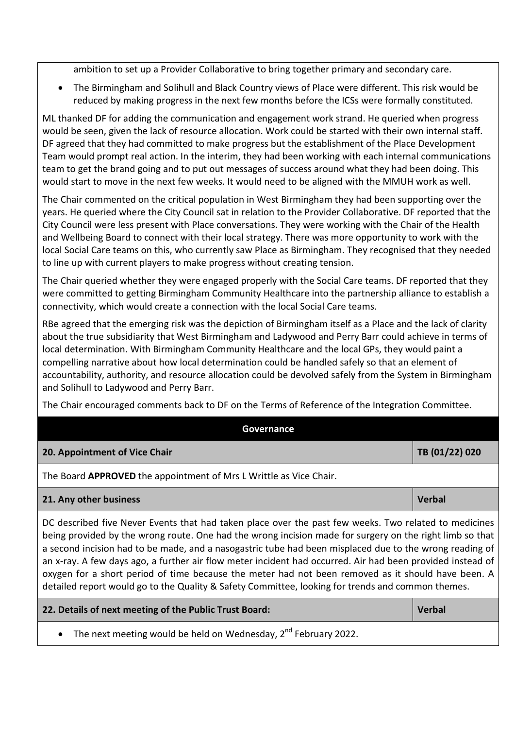ambition to set up a Provider Collaborative to bring together primary and secondary care.

 The Birmingham and Solihull and Black Country views of Place were different. This risk would be reduced by making progress in the next few months before the ICSs were formally constituted.

ML thanked DF for adding the communication and engagement work strand. He queried when progress would be seen, given the lack of resource allocation. Work could be started with their own internal staff. DF agreed that they had committed to make progress but the establishment of the Place Development Team would prompt real action. In the interim, they had been working with each internal communications team to get the brand going and to put out messages of success around what they had been doing. This would start to move in the next few weeks. It would need to be aligned with the MMUH work as well.

The Chair commented on the critical population in West Birmingham they had been supporting over the years. He queried where the City Council sat in relation to the Provider Collaborative. DF reported that the City Council were less present with Place conversations. They were working with the Chair of the Health and Wellbeing Board to connect with their local strategy. There was more opportunity to work with the local Social Care teams on this, who currently saw Place as Birmingham. They recognised that they needed to line up with current players to make progress without creating tension.

The Chair queried whether they were engaged properly with the Social Care teams. DF reported that they were committed to getting Birmingham Community Healthcare into the partnership alliance to establish a connectivity, which would create a connection with the local Social Care teams.

RBe agreed that the emerging risk was the depiction of Birmingham itself as a Place and the lack of clarity about the true subsidiarity that West Birmingham and Ladywood and Perry Barr could achieve in terms of local determination. With Birmingham Community Healthcare and the local GPs, they would paint a compelling narrative about how local determination could be handled safely so that an element of accountability, authority, and resource allocation could be devolved safely from the System in Birmingham and Solihull to Ladywood and Perry Barr.

The Chair encouraged comments back to DF on the Terms of Reference of the Integration Committee.

| Governance                                                                                                                                                                                                                                                                                                                                                                                                                                                                                                                                                                                                                                            |                |
|-------------------------------------------------------------------------------------------------------------------------------------------------------------------------------------------------------------------------------------------------------------------------------------------------------------------------------------------------------------------------------------------------------------------------------------------------------------------------------------------------------------------------------------------------------------------------------------------------------------------------------------------------------|----------------|
| 20. Appointment of Vice Chair                                                                                                                                                                                                                                                                                                                                                                                                                                                                                                                                                                                                                         | TB (01/22) 020 |
| The Board APPROVED the appointment of Mrs L Writtle as Vice Chair.                                                                                                                                                                                                                                                                                                                                                                                                                                                                                                                                                                                    |                |
| 21. Any other business                                                                                                                                                                                                                                                                                                                                                                                                                                                                                                                                                                                                                                | <b>Verbal</b>  |
| DC described five Never Events that had taken place over the past few weeks. Two related to medicines<br>being provided by the wrong route. One had the wrong incision made for surgery on the right limb so that<br>a second incision had to be made, and a nasogastric tube had been misplaced due to the wrong reading of<br>an x-ray. A few days ago, a further air flow meter incident had occurred. Air had been provided instead of<br>oxygen for a short period of time because the meter had not been removed as it should have been. A<br>detailed report would go to the Quality & Safety Committee, looking for trends and common themes. |                |
| 22. Details of next meeting of the Public Trust Board:                                                                                                                                                                                                                                                                                                                                                                                                                                                                                                                                                                                                | <b>Verbal</b>  |
|                                                                                                                                                                                                                                                                                                                                                                                                                                                                                                                                                                                                                                                       |                |

The next meeting would be held on Wednesday, 2<sup>nd</sup> February 2022.